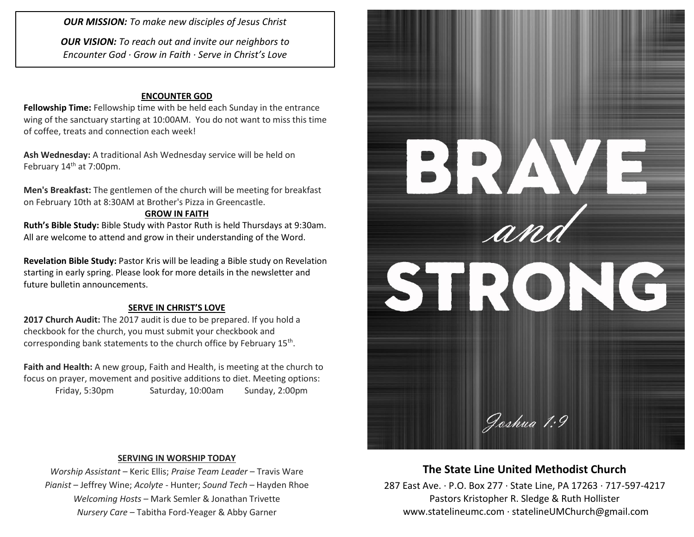*OUR MISSION: To make new disciples of Jesus Christ*

*OUR VISION: To reach out and invite our neighbors to Encounter God · Grow in Faith · Serve in Christ's Love*

#### **ENCOUNTER GOD**

**Fellowship Time:** Fellowship time with be held each Sunday in the entrance wing of the sanctuary starting at 10:00AM. You do not want to miss this time of coffee, treats and connection each week!

**Ash Wednesday:** A traditional Ash Wednesday service will be held on February 14<sup>th</sup> at 7:00pm.

**Men's Breakfast:** The gentlemen of the church will be meeting for breakfast on February 10th at 8:30AM at Brother's Pizza in Greencastle.

### **GROW IN FAITH**

**Ruth's Bible Study:** Bible Study with Pastor Ruth is held Thursdays at 9:30am. All are welcome to attend and grow in their understanding of the Word.

**Revelation Bible Study:** Pastor Kris will be leading a Bible study on Revelation starting in early spring. Please look for more details in the newsletter and future bulletin announcements.

#### **SERVE IN CHRIST'S LOVE**

**2017 Church Audit:** The 2017 audit is due to be prepared. If you hold a checkbook for the church, you must submit your checkbook and corresponding bank statements to the church office by February 15<sup>th</sup>.

**Faith and Health:** A new group, Faith and Health, is meeting at the church to focus on prayer, movement and positive additions to diet. Meeting options: Friday, 5:30pm Saturday, 10:00am Sunday, 2:00pm



### **SERVING IN WORSHIP TODAY**

*Worship Assistant* – Keric Ellis; *Praise Team Leader* – Travis Ware *Pianist* – Jeffrey Wine; *Acolyte* - Hunter; *Sound Tech* – Hayden Rhoe *Welcoming Hosts* – Mark Semler & Jonathan Trivette *Nursery Care* – Tabitha Ford-Yeager & Abby Garner

## **The State Line United Methodist Church**

287 East Ave. · P.O. Box 277 · State Line, PA 17263 · 717-597-4217 Pastors Kristopher R. Sledge & Ruth Hollister [www.statelineumc.com](http://www.statelineumc.com/) · statelineUMChurch@gmail.com